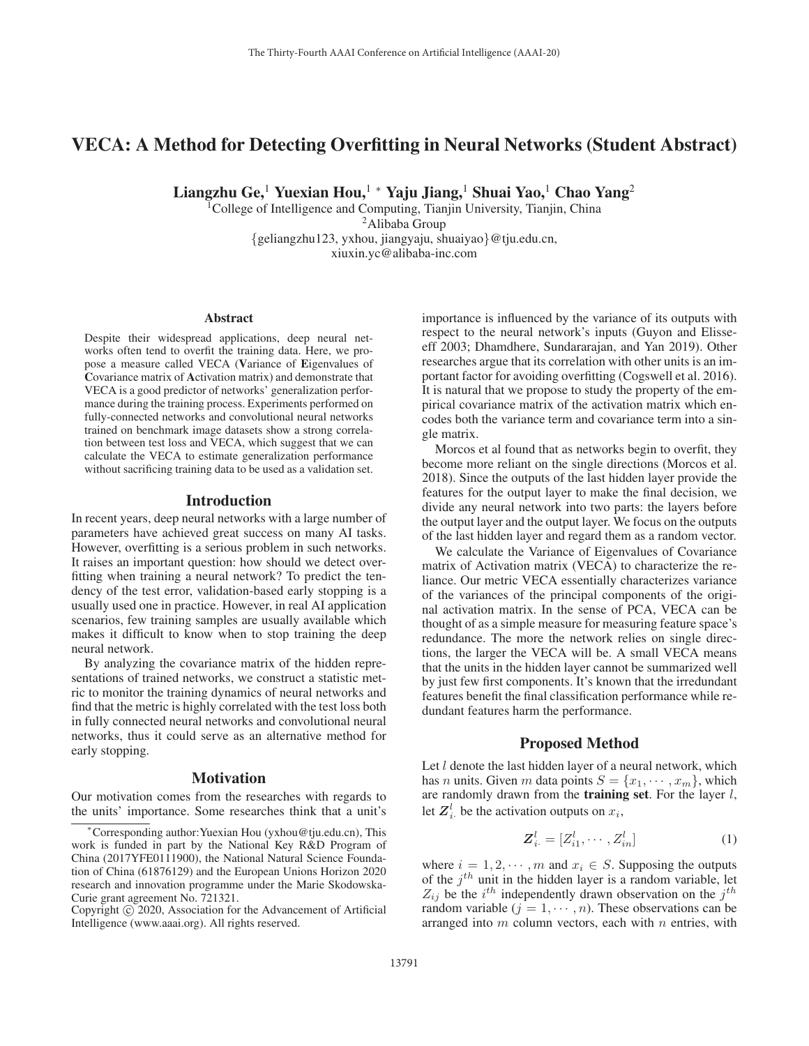# VECA: A Method for Detecting Overfitting in Neural Networks (Student Abstract)

Liangzhu Ge,<sup>1</sup> Yuexian Hou,<sup>1</sup> \* Yaju Jiang,<sup>1</sup> Shuai Yao,<sup>1</sup> Chao Yang<sup>2</sup>

1College of Intelligence and Computing, Tianjin University, Tianjin, China 2Alibaba Group {geliangzhu123, yxhou, jiangyaju, shuaiyao}@tju.edu.cn, xiuxin.yc@alibaba-inc.com

### Abstract

Despite their widespread applications, deep neural networks often tend to overfit the training data. Here, we propose a measure called VECA (Variance of Eigenvalues of Covariance matrix of Activation matrix) and demonstrate that VECA is a good predictor of networks' generalization performance during the training process. Experiments performed on fully-connected networks and convolutional neural networks trained on benchmark image datasets show a strong correlation between test loss and VECA, which suggest that we can calculate the VECA to estimate generalization performance without sacrificing training data to be used as a validation set.

### Introduction

In recent years, deep neural networks with a large number of parameters have achieved great success on many AI tasks. However, overfitting is a serious problem in such networks. It raises an important question: how should we detect overfitting when training a neural network? To predict the tendency of the test error, validation-based early stopping is a usually used one in practice. However, in real AI application scenarios, few training samples are usually available which makes it difficult to know when to stop training the deep neural network.

By analyzing the covariance matrix of the hidden representations of trained networks, we construct a statistic metric to monitor the training dynamics of neural networks and find that the metric is highly correlated with the test loss both in fully connected neural networks and convolutional neural networks, thus it could serve as an alternative method for early stopping.

#### **Motivation**

Our motivation comes from the researches with regards to the units' importance. Some researches think that a unit's

importance is influenced by the variance of its outputs with respect to the neural network's inputs (Guyon and Elisseeff 2003; Dhamdhere, Sundararajan, and Yan 2019). Other researches argue that its correlation with other units is an important factor for avoiding overfitting (Cogswell et al. 2016). It is natural that we propose to study the property of the empirical covariance matrix of the activation matrix which encodes both the variance term and covariance term into a single matrix.

Morcos et al found that as networks begin to overfit, they become more reliant on the single directions (Morcos et al. 2018). Since the outputs of the last hidden layer provide the features for the output layer to make the final decision, we divide any neural network into two parts: the layers before the output layer and the output layer. We focus on the outputs of the last hidden layer and regard them as a random vector.

We calculate the Variance of Eigenvalues of Covariance matrix of Activation matrix (VECA) to characterize the reliance. Our metric VECA essentially characterizes variance of the variances of the principal components of the original activation matrix. In the sense of PCA, VECA can be thought of as a simple measure for measuring feature space's redundance. The more the network relies on single directions, the larger the VECA will be. A small VECA means that the units in the hidden layer cannot be summarized well by just few first components. It's known that the irredundant features benefit the final classification performance while redundant features harm the performance.

## Proposed Method

Let  $l$  denote the last hidden layer of a neural network, which has *n* units. Given *m* data points  $S = \{x_1, \dots, x_m\}$ , which are randomly drawn from the **training set**. For the layer  $l$ , let  $Z_i^l$  be the activation outputs on  $x_i$ ,

$$
\boldsymbol{Z}_{i\cdot}^l = [Z_{i1}^l, \cdots, Z_{in}^l] \tag{1}
$$

where  $i = 1, 2, \dots, m$  and  $x_i \in S$ . Supposing the outputs of the  $j<sup>th</sup>$  unit in the hidden layer is a random variable, let  $Z_{ij}$  be the  $i^{th}$  independently drawn observation on the  $j^{th}$ random variable  $(j = 1, \dots, n)$ . These observations can be arranged into  $m$  column vectors, each with  $n$  entries, with

<sup>∗</sup>Corresponding author:Yuexian Hou (yxhou@tju.edu.cn), This work is funded in part by the National Key R&D Program of China (2017YFE0111900), the National Natural Science Foundation of China (61876129) and the European Unions Horizon 2020 research and innovation programme under the Marie Skodowska-Curie grant agreement No. 721321.

Copyright  $\odot$  2020, Association for the Advancement of Artificial Intelligence (www.aaai.org). All rights reserved.